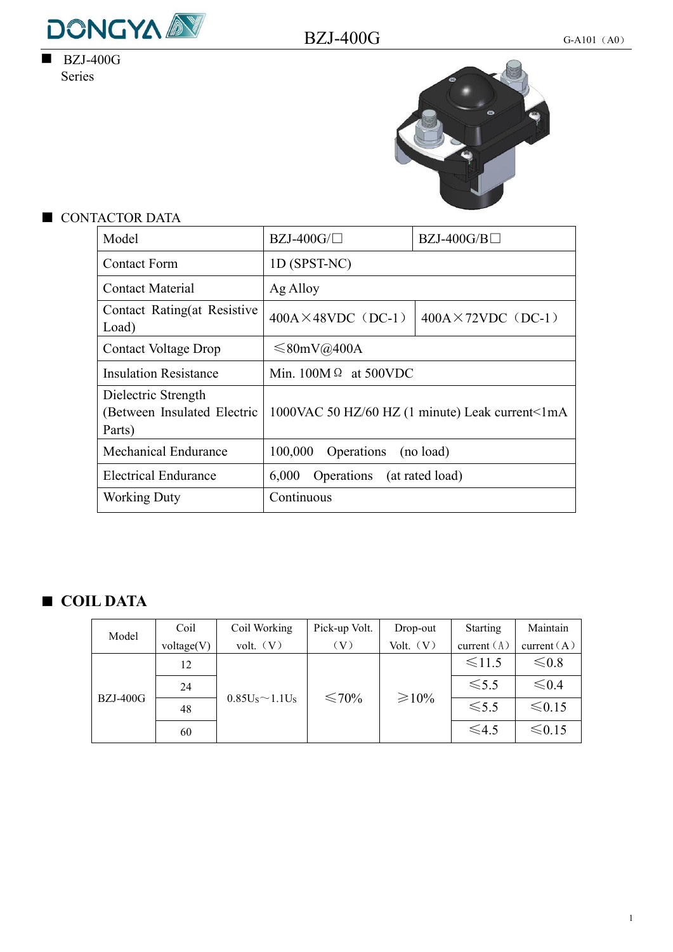





#### ■ CONTACTOR DATA

| Model                                                        | $BZJ-400G/\Box$              | $BZJ-400G/B$                                    |
|--------------------------------------------------------------|------------------------------|-------------------------------------------------|
| <b>Contact Form</b>                                          | 1D (SPST-NC)                 |                                                 |
| <b>Contact Material</b>                                      | Ag Alloy                     |                                                 |
| Contact Rating(at Resistive<br>Load)                         | $400A \times 48VDC$ (DC-1)   | $400A \times 72VDC$ (DC-1)                      |
| <b>Contact Voltage Drop</b>                                  | $\leq 80$ mV@400A            |                                                 |
| <b>Insulation Resistance</b>                                 | Min. $100M \Omega$ at 500VDC |                                                 |
| Dielectric Strength<br>(Between Insulated Electric<br>Parts) |                              | 1000VAC 50 HZ/60 HZ (1 minute) Leak current<1mA |
| <b>Mechanical Endurance</b>                                  | 100,000<br>Operations        | (no load)                                       |
| <b>Electrical Endurance</b>                                  | 6,000<br>Operations          | (at rated load)                                 |
| <b>Working Duty</b>                                          | Continuous                   |                                                 |
|                                                              |                              |                                                 |

## ■ **COIL DATA**

| Model      | Coil       | Coil Working                          | Pick-up Volt.              | Drop-out    | <b>Starting</b> | Maintain      |
|------------|------------|---------------------------------------|----------------------------|-------------|-----------------|---------------|
|            | voltage(V) | volt. (V)                             | $\left( \mathrm{V}\right)$ | Volt. (V)   | current $(A)$   | current $(A)$ |
|            | 12         | 0.85U <sub>s</sub> ~1.1U <sub>s</sub> | $\leq 70\%$                | $\geq 10\%$ | $\leq$ 11.5     | ≤ 0.8         |
| $BZJ-400G$ | 24         |                                       |                            |             | $\leq 5.5$      | $\leq 0.4$    |
|            | 48         |                                       |                            |             | $\leq 5.5$      | $≤ 0.15$      |
|            | 60         |                                       |                            |             | $\leq 4.5$      | $\leq 0.15$   |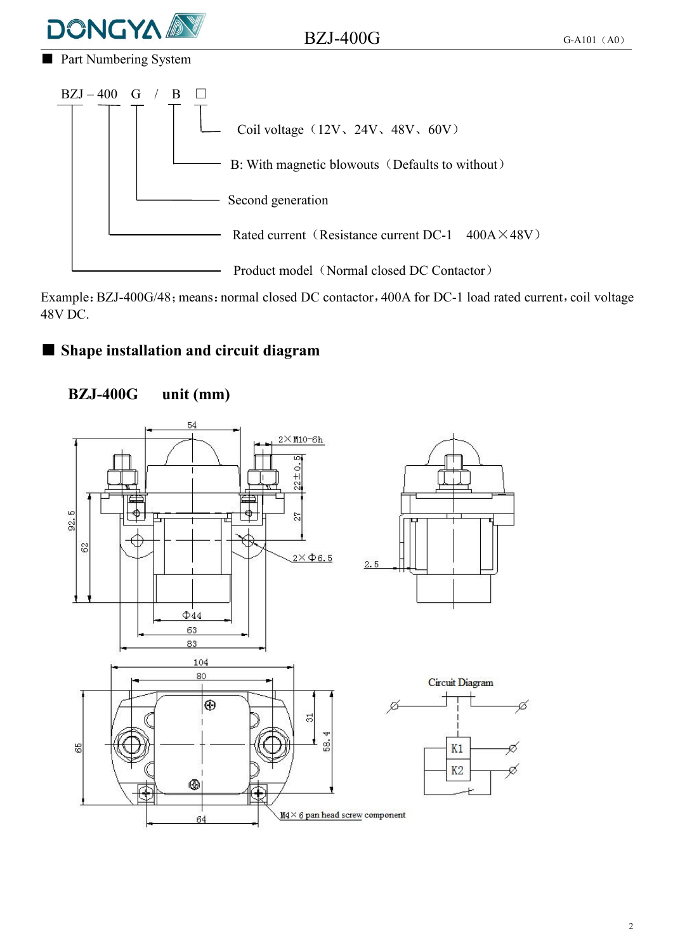

 $BZJ-400G$  G-A101 (A0)

■ Part Numbering System



Example: BZJ-400G/48; means: normal closed DC contactor, 400A for DC-1 load rated current, coil voltage 48V DC.

### ■ **Shape installation and circuit diagram**



### **BZJ-400G unit (mm)**